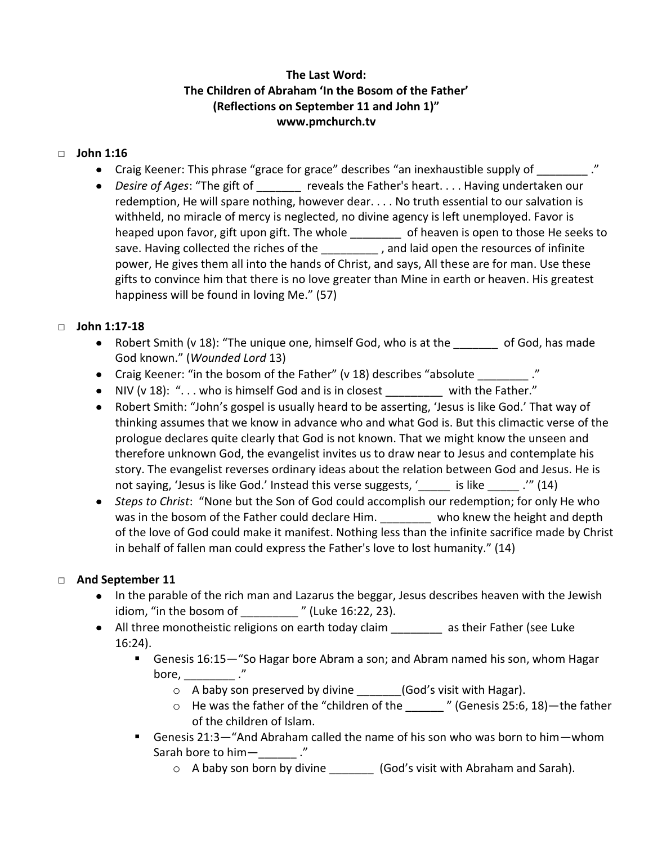## **The Last Word: The Children of Abraham 'In the Bosom of the Father' (Reflections on September 11 and John 1)" www.pmchurch.tv**

#### □ **John 1:16**

- Craig Keener: This phrase "grace for grace" describes "an inexhaustible supply of \_\_\_\_\_\_\_."
- Desire of Ages: "The gift of **the contact of the Father's heart.** . . . Having undertaken our redemption, He will spare nothing, however dear. . . . No truth essential to our salvation is withheld, no miracle of mercy is neglected, no divine agency is left unemployed. Favor is heaped upon favor, gift upon gift. The whole \_\_\_\_\_\_\_\_ of heaven is open to those He seeks to save. Having collected the riches of the \_\_\_\_\_\_\_\_\_, and laid open the resources of infinite power, He gives them all into the hands of Christ, and says, All these are for man. Use these gifts to convince him that there is no love greater than Mine in earth or heaven. His greatest happiness will be found in loving Me." (57)

#### □ **John 1:17-18**

- Robert Smith (v 18): "The unique one, himself God, who is at the subset God, has made God known." (*Wounded Lord* 13)
- Craig Keener: "in the bosom of the Father" (v 18) describes "absolute \_\_\_\_\_\_\_\_ ."
- NIV (v 18): "... who is himself God and is in closest with the Father."
- Robert Smith: "John's gospel is usually heard to be asserting, 'Jesus is like God.' That way of thinking assumes that we know in advance who and what God is. But this climactic verse of the prologue declares quite clearly that God is not known. That we might know the unseen and therefore unknown God, the evangelist invites us to draw near to Jesus and contemplate his story. The evangelist reverses ordinary ideas about the relation between God and Jesus. He is not saying, 'Jesus is like God.' Instead this verse suggests, ' \_\_\_\_\_ is like  $\cdot$  .'" (14)
- *Steps to Christ*: "None but the Son of God could accomplish our redemption; for only He who was in the bosom of the Father could declare Him. The who knew the height and depth of the love of God could make it manifest. Nothing less than the infinite sacrifice made by Christ in behalf of fallen man could express the Father's love to lost humanity." (14)

### □ **And September 11**

- In the parable of the rich man and Lazarus the beggar, Jesus describes heaven with the Jewish idiom, "in the bosom of \_\_\_\_\_\_\_\_\_ " (Luke 16:22, 23).
- All three monotheistic religions on earth today claim \_\_\_\_\_\_\_\_ as their Father (see Luke 16:24).
	- Genesis 16:15—"So Hagar bore Abram a son; and Abram named his son, whom Hagar bore,  $\frac{1}{2}$  ."
		- o A baby son preserved by divine (God's visit with Hagar).
		- o He was the father of the "children of the \_\_\_\_\_\_ " (Genesis 25:6, 18)—the father of the children of Islam.
	- Genesis 21:3—"And Abraham called the name of his son who was born to him—whom Sarah bore to him
		- o A baby son born by divine (God's visit with Abraham and Sarah).